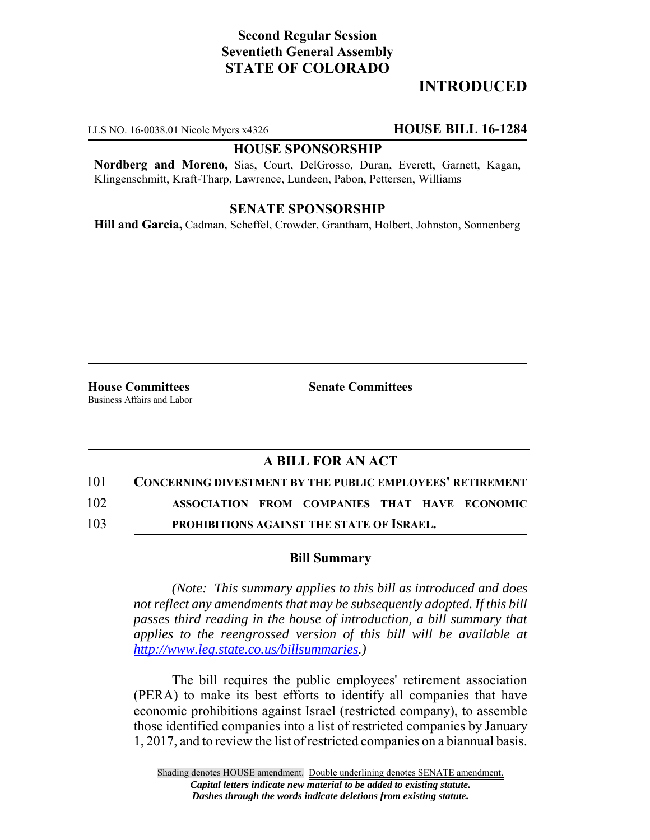# **Second Regular Session Seventieth General Assembly STATE OF COLORADO**

# **INTRODUCED**

LLS NO. 16-0038.01 Nicole Myers x4326 **HOUSE BILL 16-1284**

#### **HOUSE SPONSORSHIP**

**Nordberg and Moreno,** Sias, Court, DelGrosso, Duran, Everett, Garnett, Kagan, Klingenschmitt, Kraft-Tharp, Lawrence, Lundeen, Pabon, Pettersen, Williams

#### **SENATE SPONSORSHIP**

**Hill and Garcia,** Cadman, Scheffel, Crowder, Grantham, Holbert, Johnston, Sonnenberg

**House Committees Senate Committees** Business Affairs and Labor

### **A BILL FOR AN ACT**

101 **CONCERNING DIVESTMENT BY THE PUBLIC EMPLOYEES' RETIREMENT**

102 **ASSOCIATION FROM COMPANIES THAT HAVE ECONOMIC**

103 **PROHIBITIONS AGAINST THE STATE OF ISRAEL.**

#### **Bill Summary**

*(Note: This summary applies to this bill as introduced and does not reflect any amendments that may be subsequently adopted. If this bill passes third reading in the house of introduction, a bill summary that applies to the reengrossed version of this bill will be available at http://www.leg.state.co.us/billsummaries.)*

The bill requires the public employees' retirement association (PERA) to make its best efforts to identify all companies that have economic prohibitions against Israel (restricted company), to assemble those identified companies into a list of restricted companies by January 1, 2017, and to review the list of restricted companies on a biannual basis.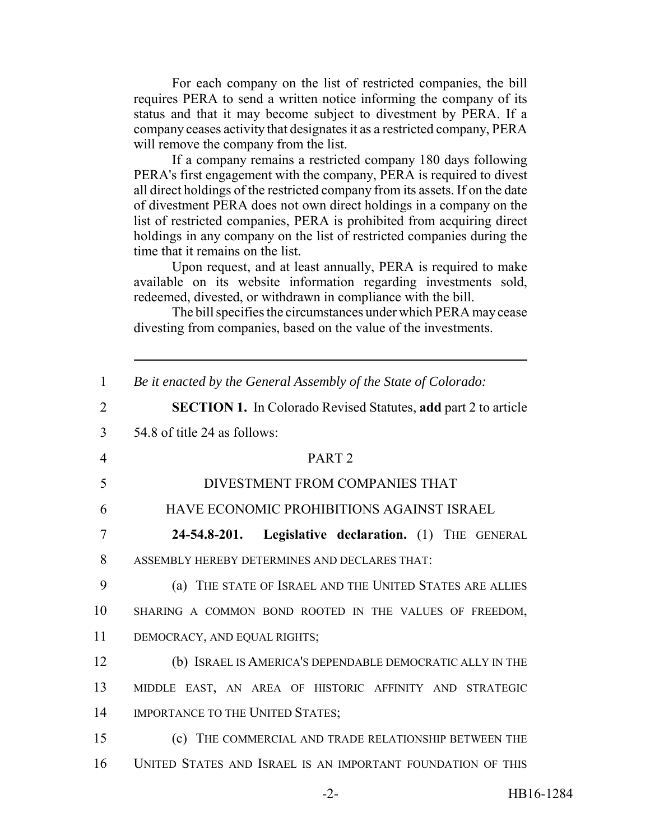For each company on the list of restricted companies, the bill requires PERA to send a written notice informing the company of its status and that it may become subject to divestment by PERA. If a company ceases activity that designates it as a restricted company, PERA will remove the company from the list.

If a company remains a restricted company 180 days following PERA's first engagement with the company, PERA is required to divest all direct holdings of the restricted company from its assets. If on the date of divestment PERA does not own direct holdings in a company on the list of restricted companies, PERA is prohibited from acquiring direct holdings in any company on the list of restricted companies during the time that it remains on the list.

Upon request, and at least annually, PERA is required to make available on its website information regarding investments sold, redeemed, divested, or withdrawn in compliance with the bill.

The bill specifies the circumstances under which PERA may cease divesting from companies, based on the value of the investments.

| Be it enacted by the General Assembly of the State of Colorado:       |
|-----------------------------------------------------------------------|
| <b>SECTION 1.</b> In Colorado Revised Statutes, add part 2 to article |
| 54.8 of title 24 as follows:                                          |
| PART <sub>2</sub>                                                     |
| DIVESTMENT FROM COMPANIES THAT                                        |
| HAVE ECONOMIC PROHIBITIONS AGAINST ISRAEL                             |
| Legislative declaration. (1) THE GENERAL<br>24-54.8-201.              |
| ASSEMBLY HEREBY DETERMINES AND DECLARES THAT:                         |
| (a) THE STATE OF ISRAEL AND THE UNITED STATES ARE ALLIES              |
| SHARING A COMMON BOND ROOTED IN THE VALUES OF FREEDOM,                |
| DEMOCRACY, AND EQUAL RIGHTS;                                          |
| (b) ISRAEL IS AMERICA'S DEPENDABLE DEMOCRATIC ALLY IN THE             |
| MIDDLE EAST, AN AREA OF HISTORIC AFFINITY AND STRATEGIC               |
| <b>IMPORTANCE TO THE UNITED STATES;</b>                               |
| (c) THE COMMERCIAL AND TRADE RELATIONSHIP BETWEEN THE                 |
| UNITED STATES AND ISRAEL IS AN IMPORTANT FOUNDATION OF THIS           |
|                                                                       |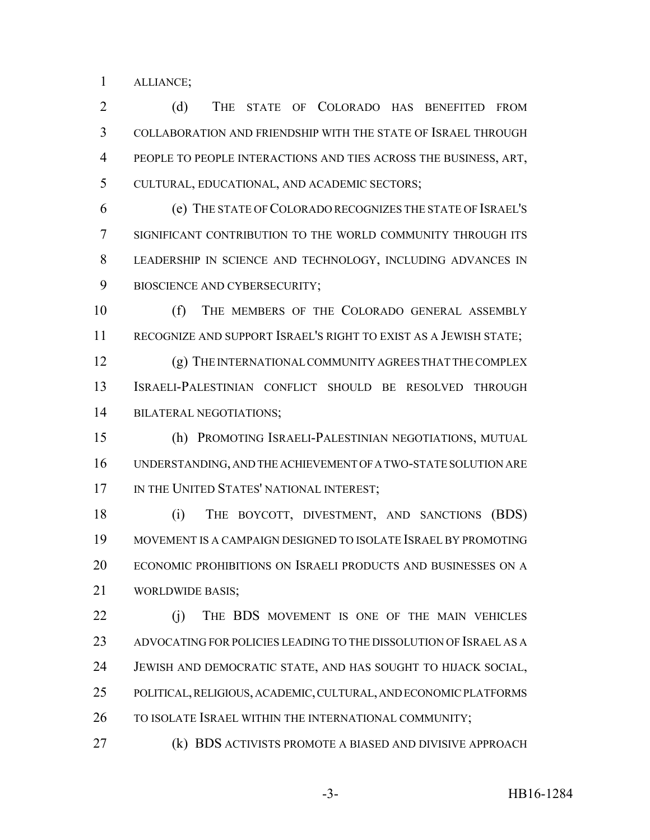ALLIANCE;

 (d) THE STATE OF COLORADO HAS BENEFITED FROM COLLABORATION AND FRIENDSHIP WITH THE STATE OF ISRAEL THROUGH PEOPLE TO PEOPLE INTERACTIONS AND TIES ACROSS THE BUSINESS, ART, CULTURAL, EDUCATIONAL, AND ACADEMIC SECTORS;

 (e) THE STATE OF COLORADO RECOGNIZES THE STATE OF ISRAEL'S SIGNIFICANT CONTRIBUTION TO THE WORLD COMMUNITY THROUGH ITS LEADERSHIP IN SCIENCE AND TECHNOLOGY, INCLUDING ADVANCES IN BIOSCIENCE AND CYBERSECURITY;

 (f) THE MEMBERS OF THE COLORADO GENERAL ASSEMBLY RECOGNIZE AND SUPPORT ISRAEL'S RIGHT TO EXIST AS A JEWISH STATE;

 (g) THE INTERNATIONAL COMMUNITY AGREES THAT THE COMPLEX ISRAELI-PALESTINIAN CONFLICT SHOULD BE RESOLVED THROUGH BILATERAL NEGOTIATIONS;

 (h) PROMOTING ISRAELI-PALESTINIAN NEGOTIATIONS, MUTUAL UNDERSTANDING, AND THE ACHIEVEMENT OF A TWO-STATE SOLUTION ARE 17 IN THE UNITED STATES' NATIONAL INTEREST;

 (i) THE BOYCOTT, DIVESTMENT, AND SANCTIONS (BDS) MOVEMENT IS A CAMPAIGN DESIGNED TO ISOLATE ISRAEL BY PROMOTING ECONOMIC PROHIBITIONS ON ISRAELI PRODUCTS AND BUSINESSES ON A WORLDWIDE BASIS;

22 (i) THE BDS MOVEMENT IS ONE OF THE MAIN VEHICLES ADVOCATING FOR POLICIES LEADING TO THE DISSOLUTION OF ISRAEL AS A JEWISH AND DEMOCRATIC STATE, AND HAS SOUGHT TO HIJACK SOCIAL, POLITICAL, RELIGIOUS, ACADEMIC, CULTURAL, AND ECONOMIC PLATFORMS 26 TO ISOLATE ISRAEL WITHIN THE INTERNATIONAL COMMUNITY;

(k) BDS ACTIVISTS PROMOTE A BIASED AND DIVISIVE APPROACH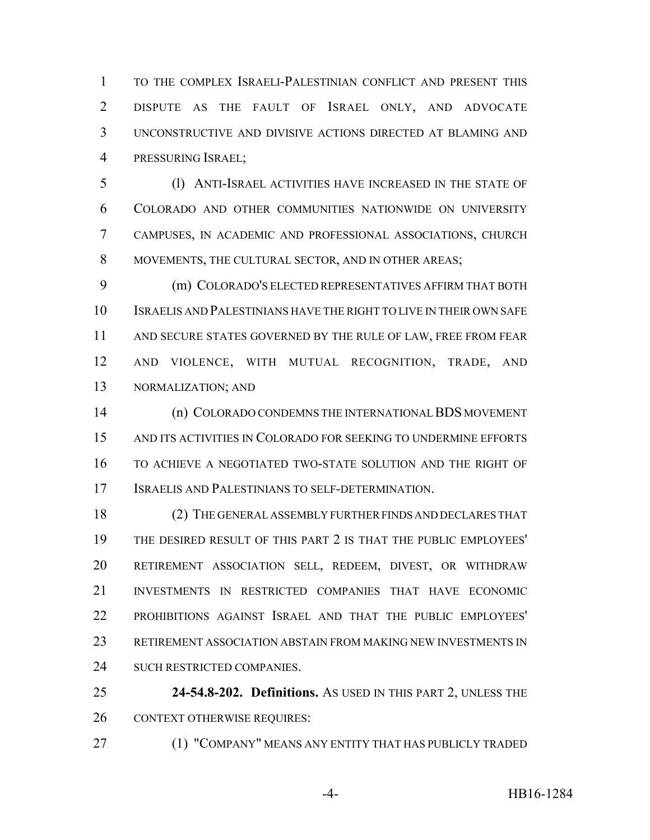TO THE COMPLEX ISRAELI-PALESTINIAN CONFLICT AND PRESENT THIS DISPUTE AS THE FAULT OF ISRAEL ONLY, AND ADVOCATE UNCONSTRUCTIVE AND DIVISIVE ACTIONS DIRECTED AT BLAMING AND PRESSURING ISRAEL;

 (l) ANTI-ISRAEL ACTIVITIES HAVE INCREASED IN THE STATE OF COLORADO AND OTHER COMMUNITIES NATIONWIDE ON UNIVERSITY CAMPUSES, IN ACADEMIC AND PROFESSIONAL ASSOCIATIONS, CHURCH MOVEMENTS, THE CULTURAL SECTOR, AND IN OTHER AREAS;

 (m) COLORADO'S ELECTED REPRESENTATIVES AFFIRM THAT BOTH ISRAELIS AND PALESTINIANS HAVE THE RIGHT TO LIVE IN THEIR OWN SAFE AND SECURE STATES GOVERNED BY THE RULE OF LAW, FREE FROM FEAR AND VIOLENCE, WITH MUTUAL RECOGNITION, TRADE, AND NORMALIZATION; AND

 (n) COLORADO CONDEMNS THE INTERNATIONAL BDS MOVEMENT AND ITS ACTIVITIES IN COLORADO FOR SEEKING TO UNDERMINE EFFORTS TO ACHIEVE A NEGOTIATED TWO-STATE SOLUTION AND THE RIGHT OF ISRAELIS AND PALESTINIANS TO SELF-DETERMINATION.

 (2) THE GENERAL ASSEMBLY FURTHER FINDS AND DECLARES THAT THE DESIRED RESULT OF THIS PART 2 IS THAT THE PUBLIC EMPLOYEES' RETIREMENT ASSOCIATION SELL, REDEEM, DIVEST, OR WITHDRAW INVESTMENTS IN RESTRICTED COMPANIES THAT HAVE ECONOMIC PROHIBITIONS AGAINST ISRAEL AND THAT THE PUBLIC EMPLOYEES' RETIREMENT ASSOCIATION ABSTAIN FROM MAKING NEW INVESTMENTS IN SUCH RESTRICTED COMPANIES.

 **24-54.8-202. Definitions.** AS USED IN THIS PART 2, UNLESS THE CONTEXT OTHERWISE REQUIRES:

(1) "COMPANY" MEANS ANY ENTITY THAT HAS PUBLICLY TRADED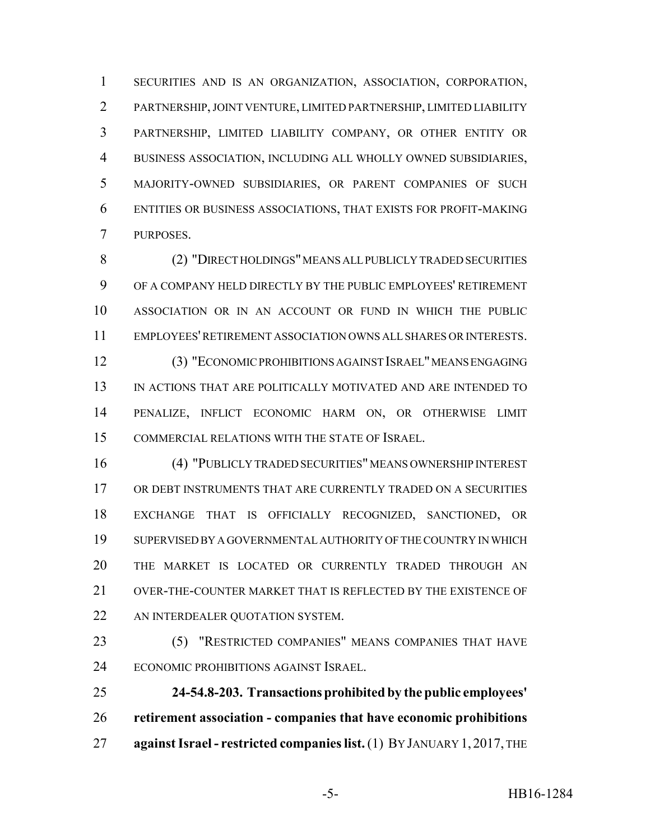SECURITIES AND IS AN ORGANIZATION, ASSOCIATION, CORPORATION, PARTNERSHIP, JOINT VENTURE, LIMITED PARTNERSHIP, LIMITED LIABILITY PARTNERSHIP, LIMITED LIABILITY COMPANY, OR OTHER ENTITY OR BUSINESS ASSOCIATION, INCLUDING ALL WHOLLY OWNED SUBSIDIARIES, MAJORITY-OWNED SUBSIDIARIES, OR PARENT COMPANIES OF SUCH ENTITIES OR BUSINESS ASSOCIATIONS, THAT EXISTS FOR PROFIT-MAKING PURPOSES.

 (2) "DIRECT HOLDINGS" MEANS ALL PUBLICLY TRADED SECURITIES OF A COMPANY HELD DIRECTLY BY THE PUBLIC EMPLOYEES' RETIREMENT ASSOCIATION OR IN AN ACCOUNT OR FUND IN WHICH THE PUBLIC EMPLOYEES' RETIREMENT ASSOCIATION OWNS ALL SHARES OR INTERESTS. (3) "ECONOMIC PROHIBITIONS AGAINST ISRAEL" MEANS ENGAGING

 IN ACTIONS THAT ARE POLITICALLY MOTIVATED AND ARE INTENDED TO PENALIZE, INFLICT ECONOMIC HARM ON, OR OTHERWISE LIMIT COMMERCIAL RELATIONS WITH THE STATE OF ISRAEL.

 (4) "PUBLICLY TRADED SECURITIES" MEANS OWNERSHIP INTEREST OR DEBT INSTRUMENTS THAT ARE CURRENTLY TRADED ON A SECURITIES EXCHANGE THAT IS OFFICIALLY RECOGNIZED, SANCTIONED, OR SUPERVISED BY A GOVERNMENTAL AUTHORITY OF THE COUNTRY IN WHICH THE MARKET IS LOCATED OR CURRENTLY TRADED THROUGH AN OVER-THE-COUNTER MARKET THAT IS REFLECTED BY THE EXISTENCE OF 22 AN INTERDEALER QUOTATION SYSTEM.

 (5) "RESTRICTED COMPANIES" MEANS COMPANIES THAT HAVE ECONOMIC PROHIBITIONS AGAINST ISRAEL.

 **24-54.8-203. Transactions prohibited by the public employees' retirement association - companies that have economic prohibitions against Israel - restricted companies list.** (1) BY JANUARY 1, 2017, THE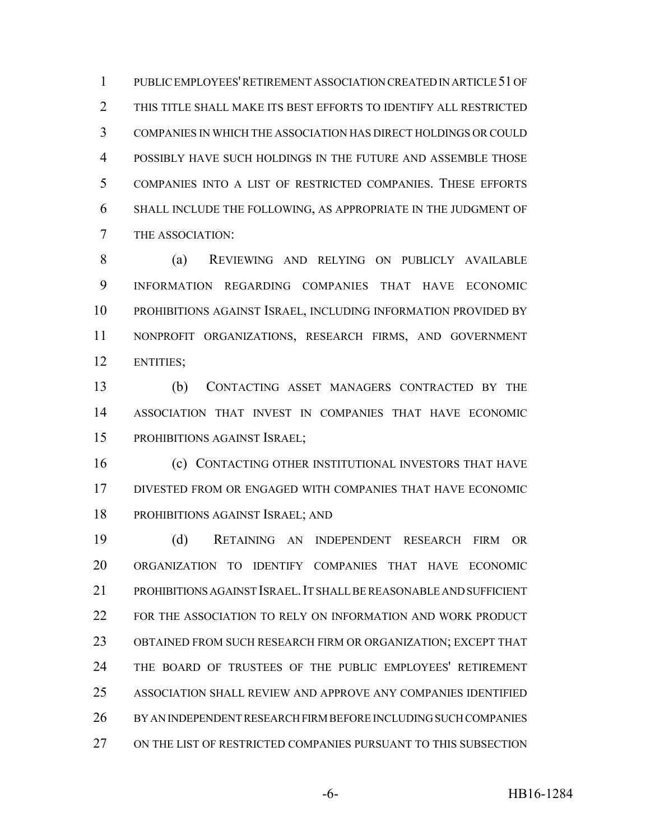PUBLIC EMPLOYEES' RETIREMENT ASSOCIATION CREATED IN ARTICLE 51 OF THIS TITLE SHALL MAKE ITS BEST EFFORTS TO IDENTIFY ALL RESTRICTED COMPANIES IN WHICH THE ASSOCIATION HAS DIRECT HOLDINGS OR COULD POSSIBLY HAVE SUCH HOLDINGS IN THE FUTURE AND ASSEMBLE THOSE COMPANIES INTO A LIST OF RESTRICTED COMPANIES. THESE EFFORTS SHALL INCLUDE THE FOLLOWING, AS APPROPRIATE IN THE JUDGMENT OF THE ASSOCIATION:

 (a) REVIEWING AND RELYING ON PUBLICLY AVAILABLE INFORMATION REGARDING COMPANIES THAT HAVE ECONOMIC PROHIBITIONS AGAINST ISRAEL, INCLUDING INFORMATION PROVIDED BY NONPROFIT ORGANIZATIONS, RESEARCH FIRMS, AND GOVERNMENT ENTITIES;

 (b) CONTACTING ASSET MANAGERS CONTRACTED BY THE ASSOCIATION THAT INVEST IN COMPANIES THAT HAVE ECONOMIC PROHIBITIONS AGAINST ISRAEL;

**(c) CONTACTING OTHER INSTITUTIONAL INVESTORS THAT HAVE**  DIVESTED FROM OR ENGAGED WITH COMPANIES THAT HAVE ECONOMIC PROHIBITIONS AGAINST ISRAEL; AND

 (d) RETAINING AN INDEPENDENT RESEARCH FIRM OR ORGANIZATION TO IDENTIFY COMPANIES THAT HAVE ECONOMIC PROHIBITIONS AGAINST ISRAEL.IT SHALL BE REASONABLE AND SUFFICIENT FOR THE ASSOCIATION TO RELY ON INFORMATION AND WORK PRODUCT OBTAINED FROM SUCH RESEARCH FIRM OR ORGANIZATION; EXCEPT THAT THE BOARD OF TRUSTEES OF THE PUBLIC EMPLOYEES' RETIREMENT ASSOCIATION SHALL REVIEW AND APPROVE ANY COMPANIES IDENTIFIED BY AN INDEPENDENT RESEARCH FIRM BEFORE INCLUDING SUCH COMPANIES ON THE LIST OF RESTRICTED COMPANIES PURSUANT TO THIS SUBSECTION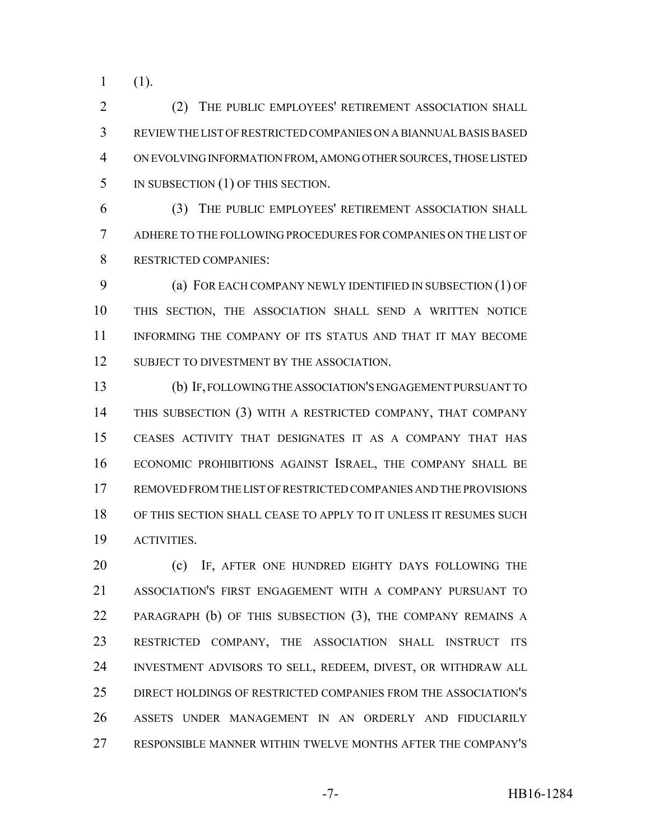(1).

 (2) THE PUBLIC EMPLOYEES' RETIREMENT ASSOCIATION SHALL REVIEW THE LIST OF RESTRICTED COMPANIES ON A BIANNUAL BASIS BASED ON EVOLVING INFORMATION FROM, AMONG OTHER SOURCES, THOSE LISTED 5 IN SUBSECTION (1) OF THIS SECTION.

 (3) THE PUBLIC EMPLOYEES' RETIREMENT ASSOCIATION SHALL ADHERE TO THE FOLLOWING PROCEDURES FOR COMPANIES ON THE LIST OF RESTRICTED COMPANIES:

 (a) FOR EACH COMPANY NEWLY IDENTIFIED IN SUBSECTION (1) OF THIS SECTION, THE ASSOCIATION SHALL SEND A WRITTEN NOTICE INFORMING THE COMPANY OF ITS STATUS AND THAT IT MAY BECOME 12 SUBJECT TO DIVESTMENT BY THE ASSOCIATION.

 (b) IF, FOLLOWING THE ASSOCIATION'S ENGAGEMENT PURSUANT TO THIS SUBSECTION (3) WITH A RESTRICTED COMPANY, THAT COMPANY CEASES ACTIVITY THAT DESIGNATES IT AS A COMPANY THAT HAS ECONOMIC PROHIBITIONS AGAINST ISRAEL, THE COMPANY SHALL BE REMOVED FROM THE LIST OF RESTRICTED COMPANIES AND THE PROVISIONS OF THIS SECTION SHALL CEASE TO APPLY TO IT UNLESS IT RESUMES SUCH ACTIVITIES.

20 (c) IF, AFTER ONE HUNDRED EIGHTY DAYS FOLLOWING THE ASSOCIATION'S FIRST ENGAGEMENT WITH A COMPANY PURSUANT TO PARAGRAPH (b) OF THIS SUBSECTION (3), THE COMPANY REMAINS A RESTRICTED COMPANY, THE ASSOCIATION SHALL INSTRUCT ITS INVESTMENT ADVISORS TO SELL, REDEEM, DIVEST, OR WITHDRAW ALL DIRECT HOLDINGS OF RESTRICTED COMPANIES FROM THE ASSOCIATION'S ASSETS UNDER MANAGEMENT IN AN ORDERLY AND FIDUCIARILY RESPONSIBLE MANNER WITHIN TWELVE MONTHS AFTER THE COMPANY'S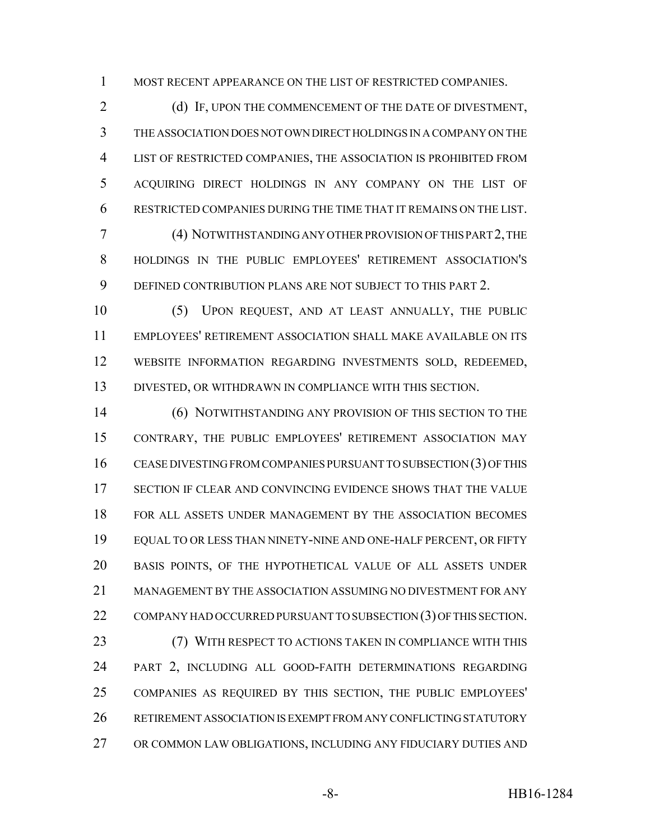MOST RECENT APPEARANCE ON THE LIST OF RESTRICTED COMPANIES.

2 (d) IF, UPON THE COMMENCEMENT OF THE DATE OF DIVESTMENT, THE ASSOCIATION DOES NOT OWN DIRECT HOLDINGS IN A COMPANY ON THE LIST OF RESTRICTED COMPANIES, THE ASSOCIATION IS PROHIBITED FROM ACQUIRING DIRECT HOLDINGS IN ANY COMPANY ON THE LIST OF RESTRICTED COMPANIES DURING THE TIME THAT IT REMAINS ON THE LIST.

 (4) NOTWITHSTANDING ANY OTHER PROVISION OF THIS PART 2, THE HOLDINGS IN THE PUBLIC EMPLOYEES' RETIREMENT ASSOCIATION'S DEFINED CONTRIBUTION PLANS ARE NOT SUBJECT TO THIS PART 2.

 (5) UPON REQUEST, AND AT LEAST ANNUALLY, THE PUBLIC EMPLOYEES' RETIREMENT ASSOCIATION SHALL MAKE AVAILABLE ON ITS WEBSITE INFORMATION REGARDING INVESTMENTS SOLD, REDEEMED, DIVESTED, OR WITHDRAWN IN COMPLIANCE WITH THIS SECTION.

 (6) NOTWITHSTANDING ANY PROVISION OF THIS SECTION TO THE CONTRARY, THE PUBLIC EMPLOYEES' RETIREMENT ASSOCIATION MAY CEASE DIVESTING FROM COMPANIES PURSUANT TO SUBSECTION (3) OF THIS SECTION IF CLEAR AND CONVINCING EVIDENCE SHOWS THAT THE VALUE FOR ALL ASSETS UNDER MANAGEMENT BY THE ASSOCIATION BECOMES EQUAL TO OR LESS THAN NINETY-NINE AND ONE-HALF PERCENT, OR FIFTY BASIS POINTS, OF THE HYPOTHETICAL VALUE OF ALL ASSETS UNDER MANAGEMENT BY THE ASSOCIATION ASSUMING NO DIVESTMENT FOR ANY 22 COMPANY HAD OCCURRED PURSUANT TO SUBSECTION (3) OF THIS SECTION.

**(7) WITH RESPECT TO ACTIONS TAKEN IN COMPLIANCE WITH THIS**  PART 2, INCLUDING ALL GOOD-FAITH DETERMINATIONS REGARDING COMPANIES AS REQUIRED BY THIS SECTION, THE PUBLIC EMPLOYEES' RETIREMENT ASSOCIATION IS EXEMPT FROM ANY CONFLICTING STATUTORY OR COMMON LAW OBLIGATIONS, INCLUDING ANY FIDUCIARY DUTIES AND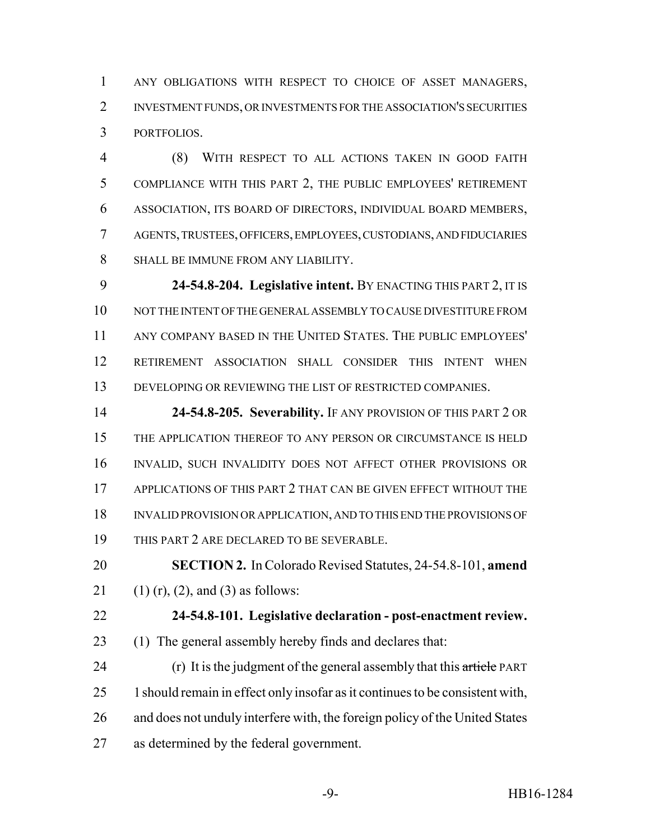ANY OBLIGATIONS WITH RESPECT TO CHOICE OF ASSET MANAGERS, INVESTMENT FUNDS, OR INVESTMENTS FOR THE ASSOCIATION'S SECURITIES PORTFOLIOS.

 (8) WITH RESPECT TO ALL ACTIONS TAKEN IN GOOD FAITH COMPLIANCE WITH THIS PART 2, THE PUBLIC EMPLOYEES' RETIREMENT ASSOCIATION, ITS BOARD OF DIRECTORS, INDIVIDUAL BOARD MEMBERS, AGENTS, TRUSTEES, OFFICERS, EMPLOYEES, CUSTODIANS, AND FIDUCIARIES SHALL BE IMMUNE FROM ANY LIABILITY.

 **24-54.8-204. Legislative intent.** BY ENACTING THIS PART 2, IT IS NOT THE INTENT OF THE GENERAL ASSEMBLY TO CAUSE DIVESTITURE FROM ANY COMPANY BASED IN THE UNITED STATES. THE PUBLIC EMPLOYEES' RETIREMENT ASSOCIATION SHALL CONSIDER THIS INTENT WHEN DEVELOPING OR REVIEWING THE LIST OF RESTRICTED COMPANIES.

 **24-54.8-205. Severability.** IF ANY PROVISION OF THIS PART 2 OR THE APPLICATION THEREOF TO ANY PERSON OR CIRCUMSTANCE IS HELD INVALID, SUCH INVALIDITY DOES NOT AFFECT OTHER PROVISIONS OR 17 APPLICATIONS OF THIS PART 2 THAT CAN BE GIVEN EFFECT WITHOUT THE INVALID PROVISION OR APPLICATION, AND TO THIS END THE PROVISIONS OF THIS PART 2 ARE DECLARED TO BE SEVERABLE.

 **SECTION 2.** In Colorado Revised Statutes, 24-54.8-101, **amend** 21 (1) (r), (2), and (3) as follows:

**24-54.8-101. Legislative declaration - post-enactment review.**

(1) The general assembly hereby finds and declares that:

24 (r) It is the judgment of the general assembly that this article PART 1should remain in effect only insofar as it continues to be consistent with, and does not unduly interfere with, the foreign policy of the United States as determined by the federal government.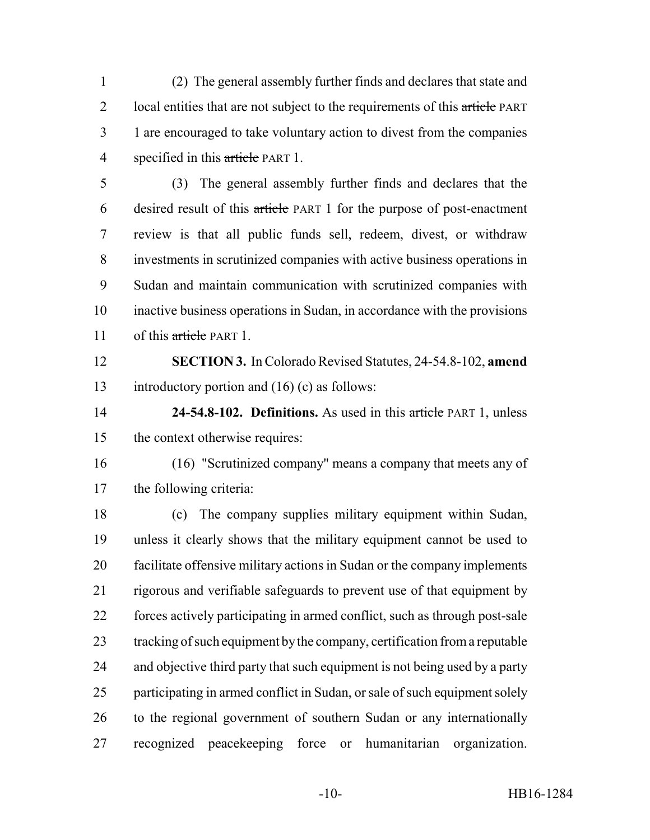(2) The general assembly further finds and declares that state and 2 local entities that are not subject to the requirements of this article PART 1 are encouraged to take voluntary action to divest from the companies 4 specified in this article PART 1.

 (3) The general assembly further finds and declares that the desired result of this article PART 1 for the purpose of post-enactment review is that all public funds sell, redeem, divest, or withdraw investments in scrutinized companies with active business operations in Sudan and maintain communication with scrutinized companies with inactive business operations in Sudan, in accordance with the provisions 11 of this article PART 1.

 **SECTION 3.** In Colorado Revised Statutes, 24-54.8-102, **amend** introductory portion and (16) (c) as follows:

 **24-54.8-102. Definitions.** As used in this article PART 1, unless the context otherwise requires:

 (16) "Scrutinized company" means a company that meets any of the following criteria:

 (c) The company supplies military equipment within Sudan, unless it clearly shows that the military equipment cannot be used to facilitate offensive military actions in Sudan or the company implements rigorous and verifiable safeguards to prevent use of that equipment by forces actively participating in armed conflict, such as through post-sale tracking of such equipment by the company, certification from a reputable and objective third party that such equipment is not being used by a party participating in armed conflict in Sudan, or sale of such equipment solely to the regional government of southern Sudan or any internationally recognized peacekeeping force or humanitarian organization.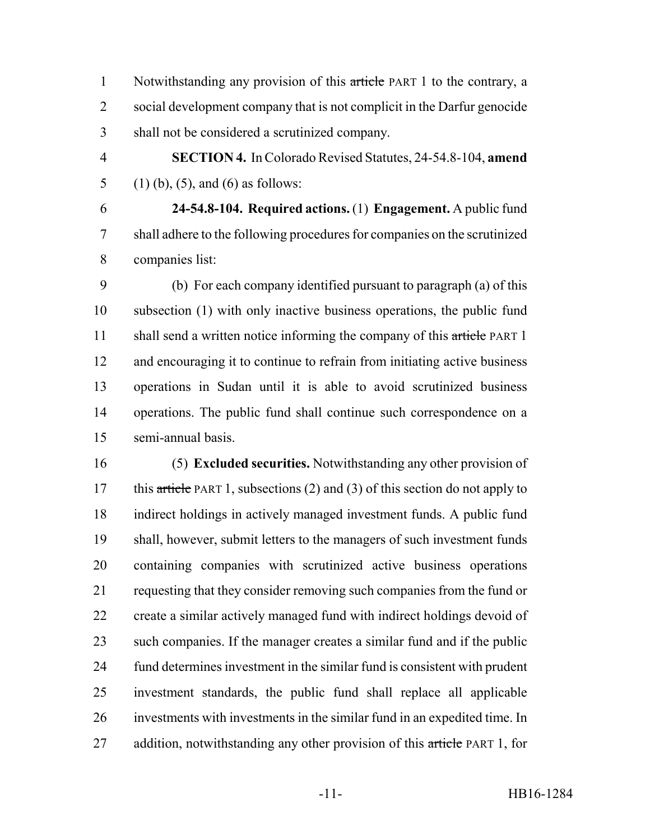1 Notwithstanding any provision of this article PART 1 to the contrary, a 2 social development company that is not complicit in the Darfur genocide shall not be considered a scrutinized company.

 **SECTION 4.** In Colorado Revised Statutes, 24-54.8-104, **amend** 5 (1) (b), (5), and (6) as follows:

 **24-54.8-104. Required actions.** (1) **Engagement.** A public fund shall adhere to the following procedures for companies on the scrutinized companies list:

 (b) For each company identified pursuant to paragraph (a) of this subsection (1) with only inactive business operations, the public fund 11 shall send a written notice informing the company of this article PART 1 and encouraging it to continue to refrain from initiating active business operations in Sudan until it is able to avoid scrutinized business operations. The public fund shall continue such correspondence on a semi-annual basis.

 (5) **Excluded securities.** Notwithstanding any other provision of 17 this article PART 1, subsections (2) and (3) of this section do not apply to indirect holdings in actively managed investment funds. A public fund shall, however, submit letters to the managers of such investment funds containing companies with scrutinized active business operations requesting that they consider removing such companies from the fund or create a similar actively managed fund with indirect holdings devoid of such companies. If the manager creates a similar fund and if the public fund determines investment in the similar fund is consistent with prudent investment standards, the public fund shall replace all applicable investments with investments in the similar fund in an expedited time. In 27 addition, notwithstanding any other provision of this article PART 1, for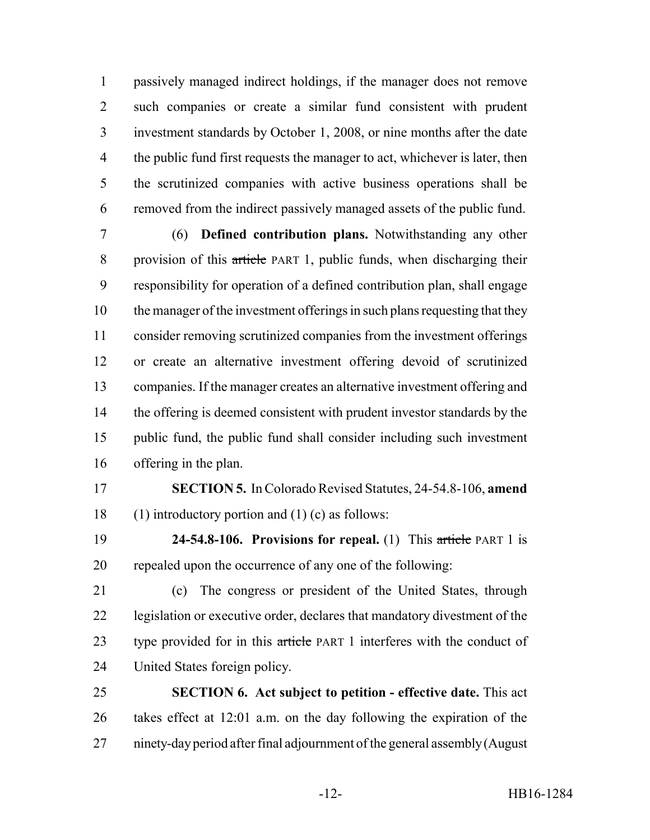passively managed indirect holdings, if the manager does not remove such companies or create a similar fund consistent with prudent investment standards by October 1, 2008, or nine months after the date the public fund first requests the manager to act, whichever is later, then the scrutinized companies with active business operations shall be removed from the indirect passively managed assets of the public fund.

 (6) **Defined contribution plans.** Notwithstanding any other provision of this article PART 1, public funds, when discharging their responsibility for operation of a defined contribution plan, shall engage the manager of the investment offerings in such plans requesting that they consider removing scrutinized companies from the investment offerings or create an alternative investment offering devoid of scrutinized companies. If the manager creates an alternative investment offering and 14 the offering is deemed consistent with prudent investor standards by the public fund, the public fund shall consider including such investment offering in the plan.

 **SECTION 5.** In Colorado Revised Statutes, 24-54.8-106, **amend** (1) introductory portion and (1) (c) as follows:

 **24-54.8-106. Provisions for repeal.** (1) This article PART 1 is repealed upon the occurrence of any one of the following:

 (c) The congress or president of the United States, through legislation or executive order, declares that mandatory divestment of the 23 type provided for in this article PART 1 interferes with the conduct of United States foreign policy.

 **SECTION 6. Act subject to petition - effective date.** This act takes effect at 12:01 a.m. on the day following the expiration of the ninety-day period after final adjournment of the general assembly (August